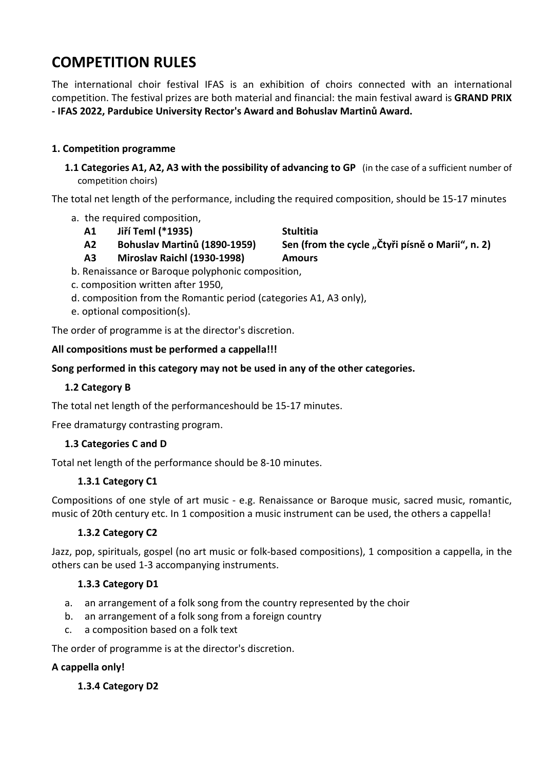# **COMPETITION RULES**

The international choir festival IFAS is an exhibition of choirs connected with an international competition. The festival prizes are both material and financial: the main festival award is **GRAND PRIX - IFAS 2022, Pardubice University Rector's Award and Bohuslav Martinů Award.** 

## **1. Competition programme**

**1.1 Categories A1, A2, A3 with the possibility of advancing to GP** (in the case of a sufficient number of competition choirs)

The total net length of the performance, including the required composition, should be 15-17 minutes

- a. the required composition,
	- **A1 Jiří Teml (\*1935) Stultitia**
	-
	- **A3 Miroslav Raichl (1930-1998) Amours**
- b. Renaissance or Baroque polyphonic composition,
- c. composition written after 1950,
- d. composition from the Romantic period (categories A1, A3 only),
- e. optional composition(s).

The order of programme is at the director's discretion.

#### **All compositions must be performed a cappella!!!**

**Song performed in this category may not be used in any of the other categories.** 

## **1.2 Category B**

The total net length of the performanceshould be 15-17 minutes.

Free dramaturgy contrasting program.

#### **1.3 Categories C and D**

Total net length of the performance should be 8-10 minutes.

#### **1.3.1 Category C1**

Compositions of one style of art music - e.g. Renaissance or Baroque music, sacred music, romantic, music of 20th century etc. In 1 composition a music instrument can be used, the others a cappella!

#### **1.3.2 Category C2**

Jazz, pop, spirituals, gospel (no art music or folk-based compositions), 1 composition a cappella, in the others can be used 1-3 accompanying instruments.

#### **1.3.3 Category D1**

- a. an arrangement of a folk song from the country represented by the choir
- b. an arrangement of a folk song from a foreign country
- c. a composition based on a folk text

The order of programme is at the director's discretion.

#### **A cappella only!**

#### **1.3.4 Category D2**

- **A2 Bohuslav Martinů (1890-1959) Sen (from the cycle "Čtyři písně o Marii", n. 2)** 
	-
	-
	-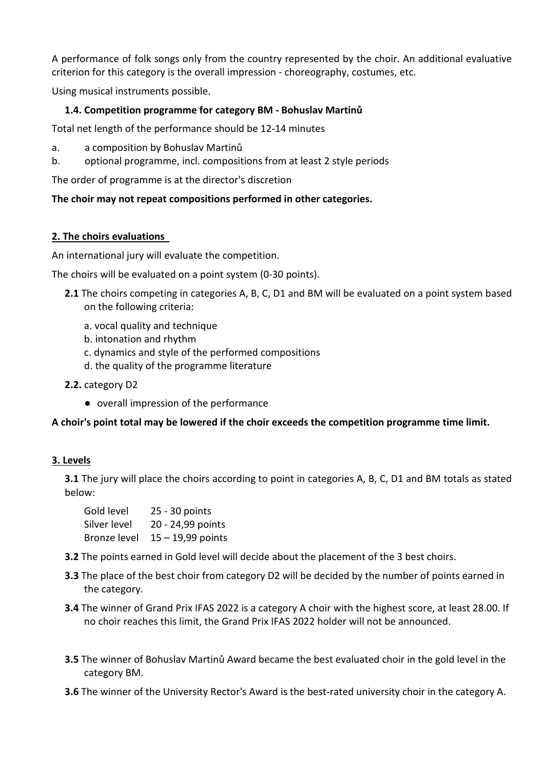A performance of folk songs only from the country represented by the choir. An additional evaluative criterion for this category is the overall impression - choreography, costumes, etc.

Using musical instruments possible.

### **1.4. Competition programme for category BM - Bohuslav Martinů**

Total net length of the performance should be 12-14 minutes

- a. a composition by Bohuslav Martinů
- b. optional programme, incl. compositions from at least 2 style periods

The order of programme is at the director's discretion

#### **The choir may not repeat compositions performed in other categories.**

#### **2. The choirs evaluations**

An international jury will evaluate the competition.

The choirs will be evaluated on a point system (0-30 points).

- **2.1** The choirs competing in categories A, B, C, D1 and BM will be evaluated on a point system based on the following criteria:
	- a. vocal quality and technique
	- b. intonation and rhythm
	- c. dynamics and style of the performed compositions
	- d. the quality of the programme literature
- **2.2.** category D2
	- overall impression of the performance

#### **A choir's point total may be lowered if the choir exceeds the competition programme time limit.**

#### **3. Levels**

**3.1** The jury will place the choirs according to point in categories A, B, C, D1 and BM totals as stated below:

| Gold level   | 25 - 30 points      |
|--------------|---------------------|
| Silver level | 20 - 24,99 points   |
| Bronze level | $15 - 19,99$ points |

- **3.2** The points earned in Gold level will decide about the placement of the 3 best choirs.
- **3.3** The place of the best choir from category D2 will be decided by the number of points earned in the category.
- **3.4** The winner of Grand Prix IFAS 2022 is a category A choir with the highest score, at least 28.00. If no choir reaches this limit, the Grand Prix IFAS 2022 holder will not be announced.
- **3.5** The winner of Bohuslav Martinů Award became the best evaluated choir in the gold level in the category BM.
- **3.6** The winner of the University Rector's Award is the best-rated university choir in the category A.